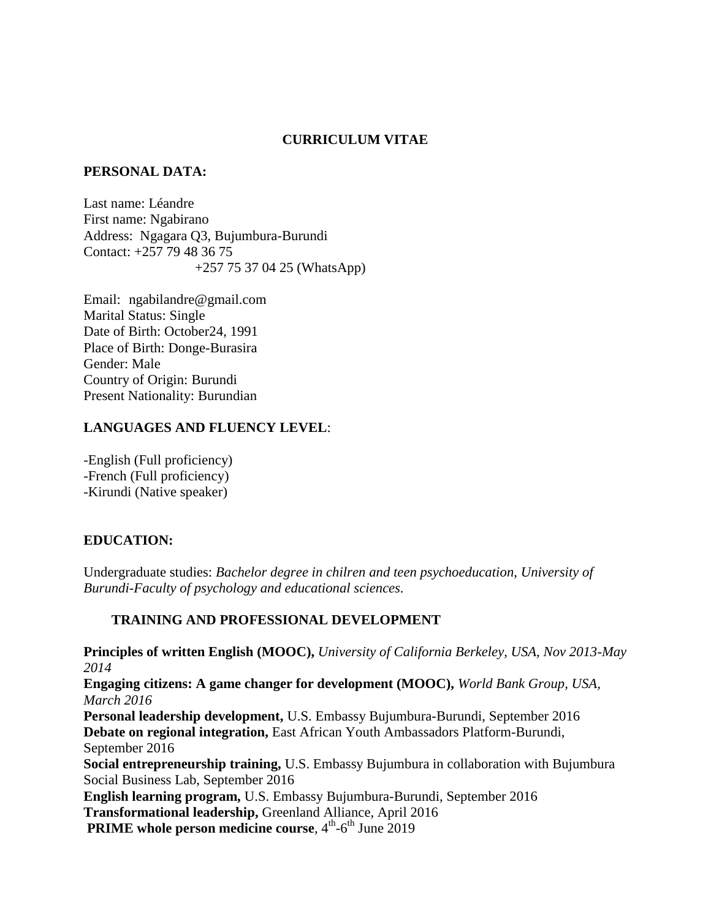### **CURRICULUM VITAE**

#### **PERSONAL DATA:**

Last name: Léandre First name: Ngabirano Address: Ngagara Q3, Bujumbura-Burundi Contact: +257 79 48 36 75 +257 75 37 04 25 (WhatsApp)

Email: ngabilandre@gmail.com Marital Status: Single Date of Birth: October24, 1991 Place of Birth: Donge-Burasira Gender: Male Country of Origin: Burundi Present Nationality: Burundian

#### **LANGUAGES AND FLUENCY LEVEL**:

-English (Full proficiency) -French (Full proficiency) -Kirundi (Native speaker)

### **EDUCATION:**

Undergraduate studies: *Bachelor degree in chilren and teen psychoeducation, University of Burundi-Faculty of psychology and educational sciences.*

### **TRAINING AND PROFESSIONAL DEVELOPMENT**

**Principles of written English (MOOC),** *University of California Berkeley, USA, Nov 2013-May 2014* **Engaging citizens: A game changer for development (MOOC),** *World Bank Group, USA, March 2016* **Personal leadership development,** U.S. Embassy Bujumbura-Burundi, September 2016 **Debate on regional integration,** East African Youth Ambassadors Platform-Burundi, September 2016 **Social entrepreneurship training,** U.S. Embassy Bujumbura in collaboration with Bujumbura Social Business Lab, September 2016 **English learning program,** U.S. Embassy Bujumbura-Burundi, September 2016 **Transformational leadership,** Greenland Alliance, April 2016 **PRIME whole person medicine course**, 4<sup>th</sup>-6<sup>th</sup> June 2019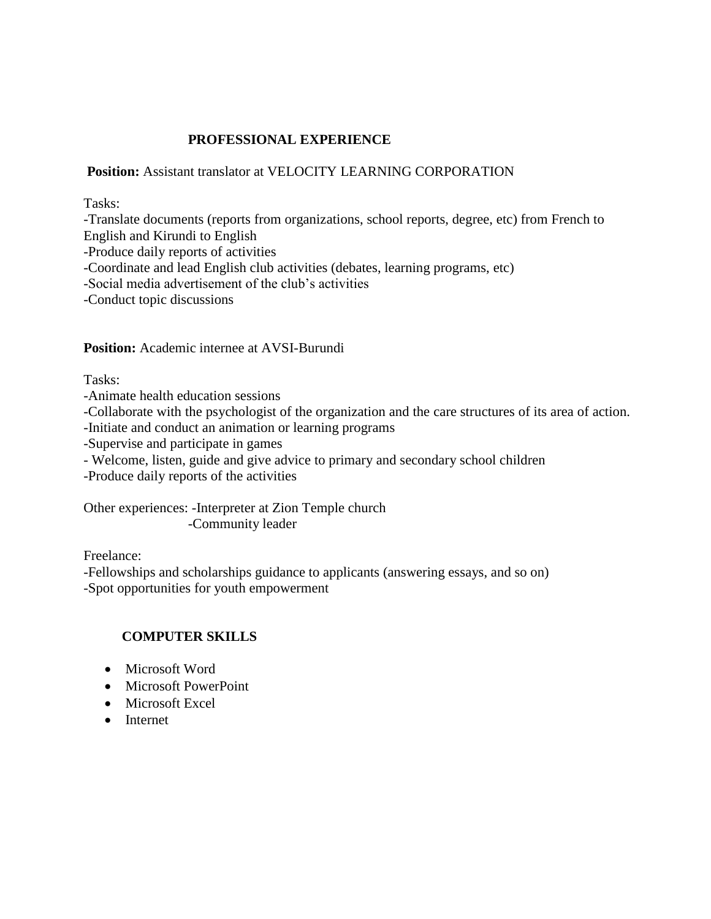# **PROFESSIONAL EXPERIENCE**

### **Position:** Assistant translator at VELOCITY LEARNING CORPORATION

Tasks:

-Translate documents (reports from organizations, school reports, degree, etc) from French to English and Kirundi to English -Produce daily reports of activities -Coordinate and lead English club activities (debates, learning programs, etc) -Social media advertisement of the club's activities -Conduct topic discussions

**Position:** Academic internee at AVSI-Burundi

Tasks:

-Animate health education sessions

-Collaborate with the psychologist of the organization and the care structures of its area of action.

-Initiate and conduct an animation or learning programs

-Supervise and participate in games

- Welcome, listen, guide and give advice to primary and secondary school children

-Produce daily reports of the activities

Other experiences: -Interpreter at Zion Temple church -Community leader

Freelance:

-Fellowships and scholarships guidance to applicants (answering essays, and so on) -Spot opportunities for youth empowerment

### **COMPUTER SKILLS**

- Microsoft Word
- Microsoft PowerPoint
- Microsoft Excel
- Internet